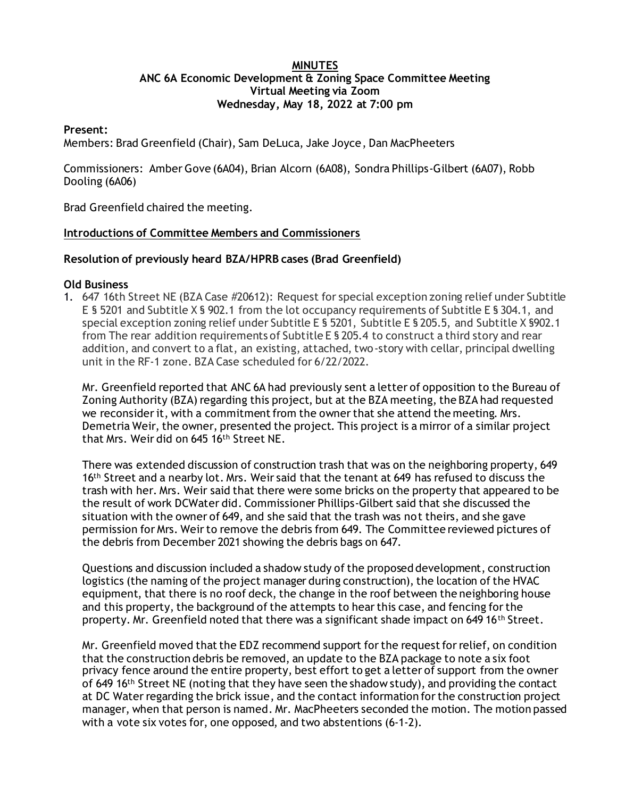### **MINUTES ANC 6A Economic Development & Zoning Space Committee Meeting Virtual Meeting via Zoom Wednesday, May 18, 2022 at 7:00 pm**

#### **Present:**

Members: Brad Greenfield (Chair), Sam DeLuca, Jake Joyce, Dan MacPheeters

Commissioners: Amber Gove (6A04), Brian Alcorn (6A08), Sondra Phillips-Gilbert (6A07), Robb Dooling (6A06)

Brad Greenfield chaired the meeting.

### **Introductions of Committee Members and Commissioners**

# **Resolution of previously heard BZA/HPRB cases (Brad Greenfield)**

### **Old Business**

1. 647 16th Street NE (BZA Case #20612): Request for special exception zoning relief under Subtitle E § 5201 and Subtitle X § 902.1 from the lot occupancy requirements of Subtitle E § 304.1, and special exception zoning relief under Subtitle E § 5201, Subtitle E § 205.5, and Subtitle X §902.1 from The rear addition requirements of Subtitle E § 205.4 to construct a third story and rear addition, and convert to a flat, an existing, attached, two-story with cellar, principal dwelling unit in the RF-1 zone. BZA Case scheduled for 6/22/2022.

Mr. Greenfield reported that ANC 6A had previously sent a letter of opposition to the Bureau of Zoning Authority (BZA) regarding this project, but at the BZA meeting, the BZA had requested we reconsider it, with a commitment from the owner that she attend the meeting. Mrs. Demetria Weir, the owner, presented the project. This project is a mirror of a similar project that Mrs. Weir did on 645 16th Street NE.

There was extended discussion of construction trash that was on the neighboring property, 649 16<sup>th</sup> Street and a nearby lot. Mrs. Weir said that the tenant at 649 has refused to discuss the trash with her. Mrs. Weir said that there were some bricks on the property that appeared to be the result of work DCWater did. Commissioner Phillips-Gilbert said that she discussed the situation with the owner of 649, and she said that the trash was not theirs, and she gave permission for Mrs. Weir to remove the debris from 649. The Committee reviewed pictures of the debris from December 2021 showing the debris bags on 647.

Questions and discussion included a shadow study of the proposed development, construction logistics (the naming of the project manager during construction), the location of the HVAC equipment, that there is no roof deck, the change in the roof between the neighboring house and this property, the background of the attempts to hear this case, and fencing for the property. Mr. Greenfield noted that there was a significant shade impact on 649 16<sup>th</sup> Street.

Mr. Greenfield moved that the EDZ recommend support for the request for relief, on condition that the construction debris be removed, an update to the BZA package to note a six foot privacy fence around the entire property, best effort to get a letter of support from the owner of 649 16<sup>th</sup> Street NE (noting that they have seen the shadow study), and providing the contact at DC Water regarding the brick issue, and the contact information for the construction project manager, when that person is named. Mr. MacPheeters seconded the motion. The motion passed with a vote six votes for, one opposed, and two abstentions (6-1-2).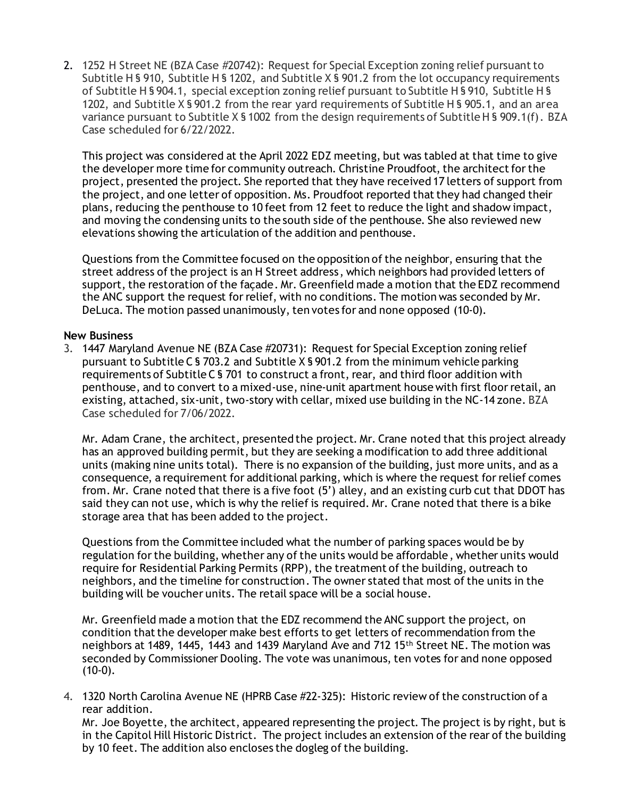2. 1252 H Street NE (BZA Case #20742): Request for Special Exception zoning relief pursuant to Subtitle H § 910, Subtitle H § 1202, and Subtitle X § 901.2 from the lot occupancy requirements of Subtitle H § 904.1, special exception zoning relief pursuant to Subtitle H § 910, Subtitle H § 1202, and Subtitle X § 901.2 from the rear yard requirements of Subtitle H § 905.1, and an area variance pursuant to Subtitle X § 1002 from the design requirements of Subtitle H § 909.1(f). BZA Case scheduled for 6/22/2022.

This project was considered at the April 2022 EDZ meeting, but was tabled at that time to give the developer more time for community outreach. Christine Proudfoot, the architect for the project, presented the project. She reported that they have received 17 letters of support from the project, and one letter of opposition. Ms. Proudfoot reported that they had changed their plans, reducing the penthouse to 10 feet from 12 feet to reduce the light and shadow impact, and moving the condensing units to the south side of the penthouse. She also reviewed new elevations showing the articulation of the addition and penthouse.

Questions from the Committee focused on the opposition of the neighbor, ensuring that the street address of the project is an H Street address, which neighbors had provided letters of support, the restoration of the façade. Mr. Greenfield made a motion that the EDZ recommend the ANC support the request for relief, with no conditions. The motion was seconded by Mr. DeLuca. The motion passed unanimously, ten votes for and none opposed (10-0).

# **New Business**

3. 1447 Maryland Avenue NE (BZA Case #20731): Request for Special Exception zoning relief pursuant to Subtitle C § 703.2 and Subtitle X § 901.2 from the minimum vehicle parking requirements of Subtitle C § 701 to construct a front, rear, and third floor addition with penthouse, and to convert to a mixed-use, nine-unit apartment house with first floor retail, an existing, attached, six-unit, two-story with cellar, mixed use building in the NC-14 zone. BZA Case scheduled for 7/06/2022.

Mr. Adam Crane, the architect, presented the project. Mr. Crane noted that this project already has an approved building permit, but they are seeking a modification to add three additional units (making nine units total). There is no expansion of the building, just more units, and as a consequence, a requirement for additional parking, which is where the request for relief comes from. Mr. Crane noted that there is a five foot (5') alley, and an existing curb cut that DDOT has said they can not use, which is why the relief is required. Mr. Crane noted that there is a bike storage area that has been added to the project.

Questions from the Committee included what the number of parking spaces would be by regulation for the building, whether any of the units would be affordable, whether units would require for Residential Parking Permits (RPP), the treatment of the building, outreach to neighbors, and the timeline for construction. The owner stated that most of the units in the building will be voucher units. The retail space will be a social house.

Mr. Greenfield made a motion that the EDZ recommend the ANC support the project, on condition that the developer make best efforts to get letters of recommendation from the neighbors at 1489, 1445, 1443 and 1439 Maryland Ave and 712 15<sup>th</sup> Street NE. The motion was seconded by Commissioner Dooling. The vote was unanimous, ten votes for and none opposed  $(10-0)$ .

4. 1320 North Carolina Avenue NE (HPRB Case #22-325): Historic review of the construction of a rear addition.

Mr. Joe Boyette, the architect, appeared representing the project. The project is by right, but is in the Capitol Hill Historic District. The project includes an extension of the rear of the building by 10 feet. The addition also encloses the dogleg of the building.